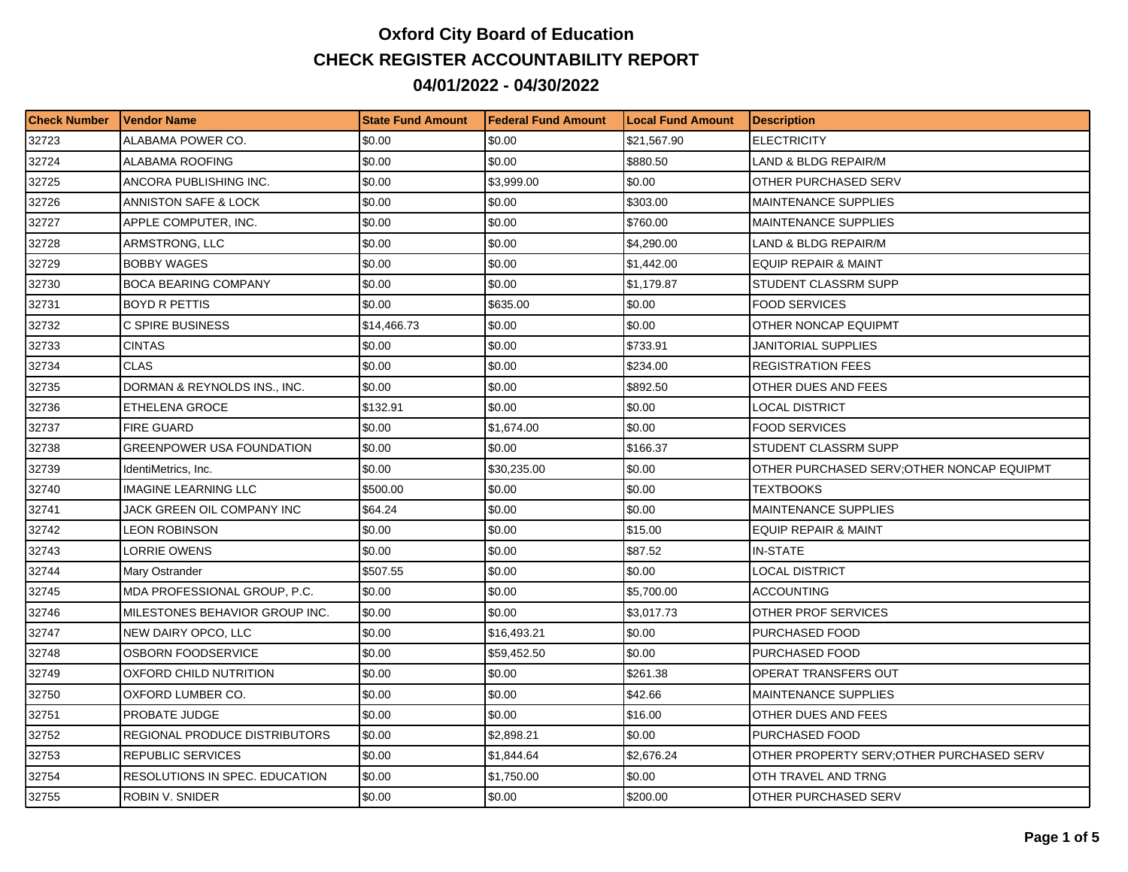## **Oxford City Board of Education CHECK REGISTER ACCOUNTABILITY REPORT 04/01/2022 - 04/30/2022**

| <b>Check Number</b> | l Vendor Name                        | <b>State Fund Amount</b> | l Federal Fund Amount | <b>Local Fund Amount</b> | <b>Description</b>                        |
|---------------------|--------------------------------------|--------------------------|-----------------------|--------------------------|-------------------------------------------|
| 32723               | ALABAMA POWER CO.                    | \$0.00                   | \$0.00                | \$21,567.90              | <b>ELECTRICITY</b>                        |
| 32724               | ALABAMA ROOFING                      | \$0.00                   | \$0.00                | \$880.50                 | LAND & BLDG REPAIR/M                      |
| 32725               | ANCORA PUBLISHING INC.               | \$0.00                   | \$3,999.00            | \$0.00                   | OTHER PURCHASED SERV                      |
| 32726               | ANNISTON SAFE & LOCK                 | \$0.00                   | \$0.00                | \$303.00                 | <b>MAINTENANCE SUPPLIES</b>               |
| 32727               | APPLE COMPUTER, INC.                 | \$0.00                   | \$0.00                | \$760.00                 | <b>MAINTENANCE SUPPLIES</b>               |
| 32728               | ARMSTRONG, LLC                       | \$0.00                   | \$0.00                | \$4,290.00               | LAND & BLDG REPAIR/M                      |
| 32729               | <b>BOBBY WAGES</b>                   | \$0.00                   | \$0.00                | \$1,442.00               | <b>EQUIP REPAIR &amp; MAINT</b>           |
| 32730               | <b>BOCA BEARING COMPANY</b>          | \$0.00                   | \$0.00                | \$1,179.87               | STUDENT CLASSRM SUPP                      |
| 32731               | <b>BOYD R PETTIS</b>                 | \$0.00                   | \$635.00              | \$0.00                   | <b>FOOD SERVICES</b>                      |
| 32732               | C SPIRE BUSINESS                     | \$14,466.73              | \$0.00                | \$0.00                   | OTHER NONCAP EQUIPMT                      |
| 32733               | <b>CINTAS</b>                        | \$0.00                   | \$0.00                | \$733.91                 | JANITORIAL SUPPLIES                       |
| 32734               | <b>CLAS</b>                          | \$0.00                   | \$0.00                | \$234.00                 | <b>REGISTRATION FEES</b>                  |
| 32735               | DORMAN & REYNOLDS INS., INC.         | \$0.00                   | \$0.00                | \$892.50                 | OTHER DUES AND FEES                       |
| 32736               | ETHELENA GROCE                       | \$132.91                 | \$0.00                | \$0.00                   | <b>LOCAL DISTRICT</b>                     |
| 32737               | <b>FIRE GUARD</b>                    | \$0.00                   | \$1,674.00            | \$0.00                   | <b>FOOD SERVICES</b>                      |
| 32738               | <b>GREENPOWER USA FOUNDATION</b>     | \$0.00                   | \$0.00                | \$166.37                 | STUDENT CLASSRM SUPP                      |
| 32739               | IdentiMetrics, Inc.                  | \$0.00                   | \$30,235.00           | \$0.00                   | OTHER PURCHASED SERV;OTHER NONCAP EQUIPMT |
| 32740               | <b>IMAGINE LEARNING LLC</b>          | \$500.00                 | \$0.00                | \$0.00                   | <b>TEXTBOOKS</b>                          |
| 32741               | JACK GREEN OIL COMPANY INC           | \$64.24                  | \$0.00                | \$0.00                   | <b>MAINTENANCE SUPPLIES</b>               |
| 32742               | LEON ROBINSON                        | \$0.00                   | \$0.00                | \$15.00                  | <b>EQUIP REPAIR &amp; MAINT</b>           |
| 32743               | LORRIE OWENS                         | \$0.00                   | \$0.00                | \$87.52                  | IN-STATE                                  |
| 32744               | Mary Ostrander                       | \$507.55                 | \$0.00                | \$0.00                   | <b>LOCAL DISTRICT</b>                     |
| 32745               | MDA PROFESSIONAL GROUP, P.C.         | \$0.00                   | \$0.00                | \$5,700.00               | <b>ACCOUNTING</b>                         |
| 32746               | MILESTONES BEHAVIOR GROUP INC.       | \$0.00                   | \$0.00                | \$3,017.73               | OTHER PROF SERVICES                       |
| 32747               | NEW DAIRY OPCO, LLC                  | \$0.00                   | \$16,493.21           | \$0.00                   | PURCHASED FOOD                            |
| 32748               | OSBORN FOODSERVICE                   | \$0.00                   | \$59,452.50           | \$0.00                   | PURCHASED FOOD                            |
| 32749               | OXFORD CHILD NUTRITION               | \$0.00                   | \$0.00                | \$261.38                 | OPERAT TRANSFERS OUT                      |
| 32750               | OXFORD LUMBER CO.                    | \$0.00                   | \$0.00                | \$42.66                  | <b>MAINTENANCE SUPPLIES</b>               |
| 32751               | PROBATE JUDGE                        | \$0.00                   | \$0.00                | \$16.00                  | OTHER DUES AND FEES                       |
| 32752               | <b>REGIONAL PRODUCE DISTRIBUTORS</b> | \$0.00                   | \$2,898.21            | \$0.00                   | PURCHASED FOOD                            |
| 32753               | <b>REPUBLIC SERVICES</b>             | \$0.00                   | \$1,844.64            | \$2,676.24               | OTHER PROPERTY SERV; OTHER PURCHASED SERV |
| 32754               | RESOLUTIONS IN SPEC. EDUCATION       | \$0.00                   | \$1,750.00            | \$0.00                   | OTH TRAVEL AND TRNG                       |
| 32755               | ROBIN V. SNIDER                      | \$0.00                   | \$0.00                | \$200.00                 | OTHER PURCHASED SERV                      |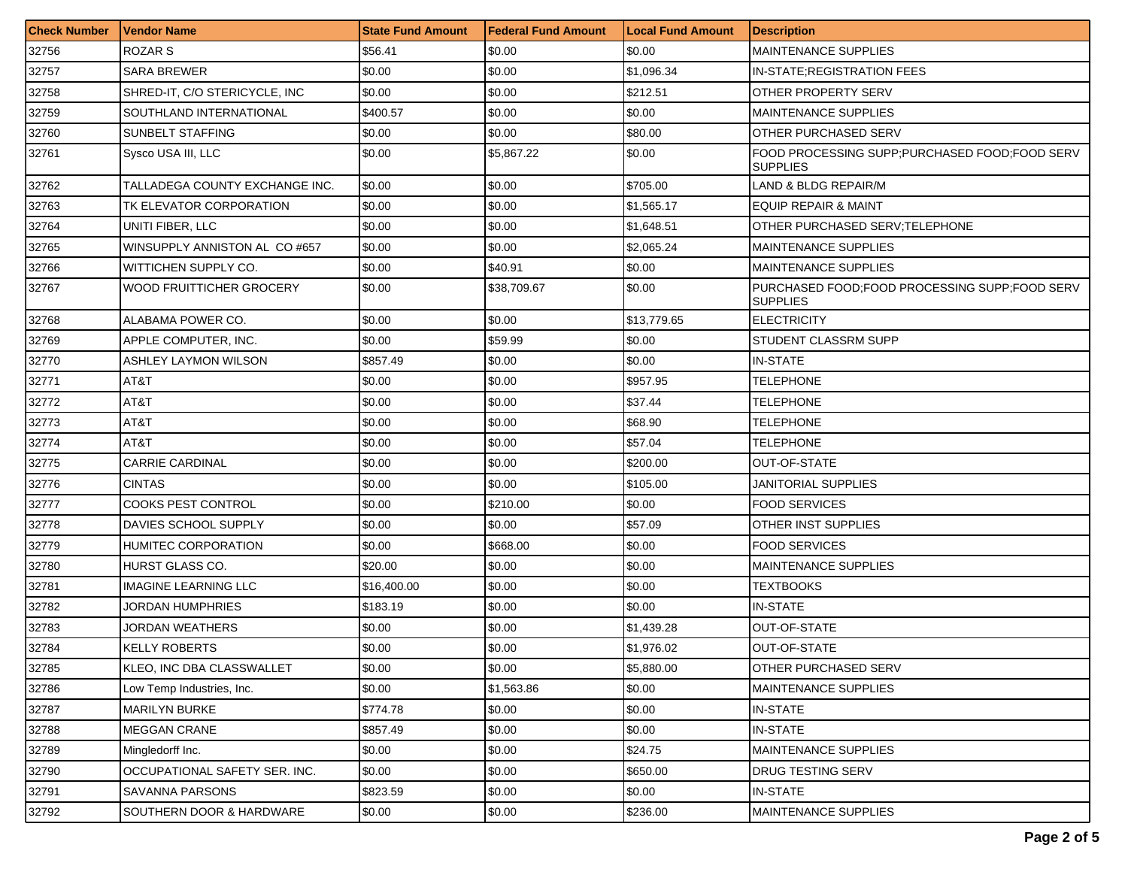| <b>Check Number</b> | Vendor Name                    | <b>State Fund Amount</b> | <b>Federal Fund Amount</b> | <b>Local Fund Amount</b> | <b>Description</b>                                               |
|---------------------|--------------------------------|--------------------------|----------------------------|--------------------------|------------------------------------------------------------------|
| 32756               | ROZAR S                        | \$56.41                  | \$0.00                     | \$0.00                   | <b>MAINTENANCE SUPPLIES</b>                                      |
| 32757               | SARA BREWER                    | \$0.00                   | \$0.00                     | \$1,096.34               | <b>IN-STATE:REGISTRATION FEES</b>                                |
| 32758               | SHRED-IT, C/O STERICYCLE, INC  | \$0.00                   | \$0.00                     | \$212.51                 | <b>OTHER PROPERTY SERV</b>                                       |
| 32759               | SOUTHLAND INTERNATIONAL        | \$400.57                 | \$0.00                     | \$0.00                   | <b>MAINTENANCE SUPPLIES</b>                                      |
| 32760               | SUNBELT STAFFING               | \$0.00                   | \$0.00                     | \$80.00                  | OTHER PURCHASED SERV                                             |
| 32761               | Sysco USA III, LLC             | \$0.00                   | \$5,867.22                 | \$0.00                   | FOOD PROCESSING SUPP;PURCHASED FOOD;FOOD SERV<br>SUPPLIES        |
| 32762               | TALLADEGA COUNTY EXCHANGE INC. | \$0.00                   | \$0.00                     | \$705.00                 | LAND & BLDG REPAIR/M                                             |
| 32763               | TK ELEVATOR CORPORATION        | \$0.00                   | \$0.00                     | \$1,565.17               | EQUIP REPAIR & MAINT                                             |
| 32764               | UNITI FIBER, LLC               | \$0.00                   | \$0.00                     | \$1,648.51               | OTHER PURCHASED SERV;TELEPHONE                                   |
| 32765               | WINSUPPLY ANNISTON AL CO #657  | \$0.00                   | \$0.00                     | \$2,065.24               | <b>MAINTENANCE SUPPLIES</b>                                      |
| 32766               | WITTICHEN SUPPLY CO.           | \$0.00                   | \$40.91                    | \$0.00                   | <b>MAINTENANCE SUPPLIES</b>                                      |
| 32767               | WOOD FRUITTICHER GROCERY       | \$0.00                   | \$38,709.67                | \$0.00                   | PURCHASED FOOD;FOOD PROCESSING SUPP;FOOD SERV<br><b>SUPPLIES</b> |
| 32768               | ALABAMA POWER CO.              | \$0.00                   | \$0.00                     | \$13,779.65              | <b>ELECTRICITY</b>                                               |
| 32769               | APPLE COMPUTER, INC.           | \$0.00                   | \$59.99                    | \$0.00                   | STUDENT CLASSRM SUPP                                             |
| 32770               | ASHLEY LAYMON WILSON           | \$857.49                 | \$0.00                     | \$0.00                   | <b>IN-STATE</b>                                                  |
| 32771               | AT&T                           | \$0.00                   | \$0.00                     | \$957.95                 | TELEPHONE                                                        |
| 32772               | AT&T                           | \$0.00                   | \$0.00                     | \$37.44                  | TELEPHONE                                                        |
| 32773               | AT&T                           | \$0.00                   | \$0.00                     | \$68.90                  | TELEPHONE                                                        |
| 32774               | AT&T                           | \$0.00                   | \$0.00                     | \$57.04                  | TELEPHONE                                                        |
| 32775               | <b>CARRIE CARDINAL</b>         | \$0.00                   | \$0.00                     | \$200.00                 | OUT-OF-STATE                                                     |
| 32776               | <b>CINTAS</b>                  | \$0.00                   | \$0.00                     | \$105.00                 | JANITORIAL SUPPLIES                                              |
| 32777               | <b>COOKS PEST CONTROL</b>      | \$0.00                   | \$210.00                   | \$0.00                   | <b>FOOD SERVICES</b>                                             |
| 32778               | DAVIES SCHOOL SUPPLY           | \$0.00                   | \$0.00                     | \$57.09                  | OTHER INST SUPPLIES                                              |
| 32779               | HUMITEC CORPORATION            | \$0.00                   | \$668.00                   | \$0.00                   | <b>FOOD SERVICES</b>                                             |
| 32780               | HURST GLASS CO.                | \$20.00                  | \$0.00                     | \$0.00                   | <b>MAINTENANCE SUPPLIES</b>                                      |
| 32781               | <b>IMAGINE LEARNING LLC</b>    | \$16,400.00              | \$0.00                     | \$0.00                   | TEXTBOOKS                                                        |
| 32782               | JORDAN HUMPHRIES               | \$183.19                 | \$0.00                     | \$0.00                   | <b>IN-STATE</b>                                                  |
| 32783               | JORDAN WEATHERS                | \$0.00                   | \$0.00                     | \$1,439.28               | <b>OUT-OF-STATE</b>                                              |
| 32784               | KELLY ROBERTS                  | \$0.00                   | \$0.00                     | \$1,976.02               | OUT-OF-STATE                                                     |
| 32785               | KLEO. INC DBA CLASSWALLET      | \$0.00                   | \$0.00                     | \$5,880.00               | <b>OTHER PURCHASED SERV</b>                                      |
| 32786               | Low Temp Industries, Inc.      | \$0.00                   | \$1,563.86                 | \$0.00                   | <b>MAINTENANCE SUPPLIES</b>                                      |
| 32787               | <b>MARILYN BURKE</b>           | \$774.78                 | \$0.00                     | \$0.00                   | <b>IN-STATE</b>                                                  |
| 32788               | <b>MEGGAN CRANE</b>            | \$857.49                 | \$0.00                     | \$0.00                   | <b>IN-STATE</b>                                                  |
| 32789               | Mingledorff Inc.               | \$0.00                   | \$0.00                     | \$24.75                  | <b>MAINTENANCE SUPPLIES</b>                                      |
| 32790               | OCCUPATIONAL SAFETY SER. INC.  | \$0.00                   | \$0.00                     | \$650.00                 | DRUG TESTING SERV                                                |
| 32791               | SAVANNA PARSONS                | \$823.59                 | \$0.00                     | \$0.00                   | <b>IN-STATE</b>                                                  |
| 32792               | SOUTHERN DOOR & HARDWARE       | \$0.00                   | \$0.00                     | \$236.00                 | MAINTENANCE SUPPLIES                                             |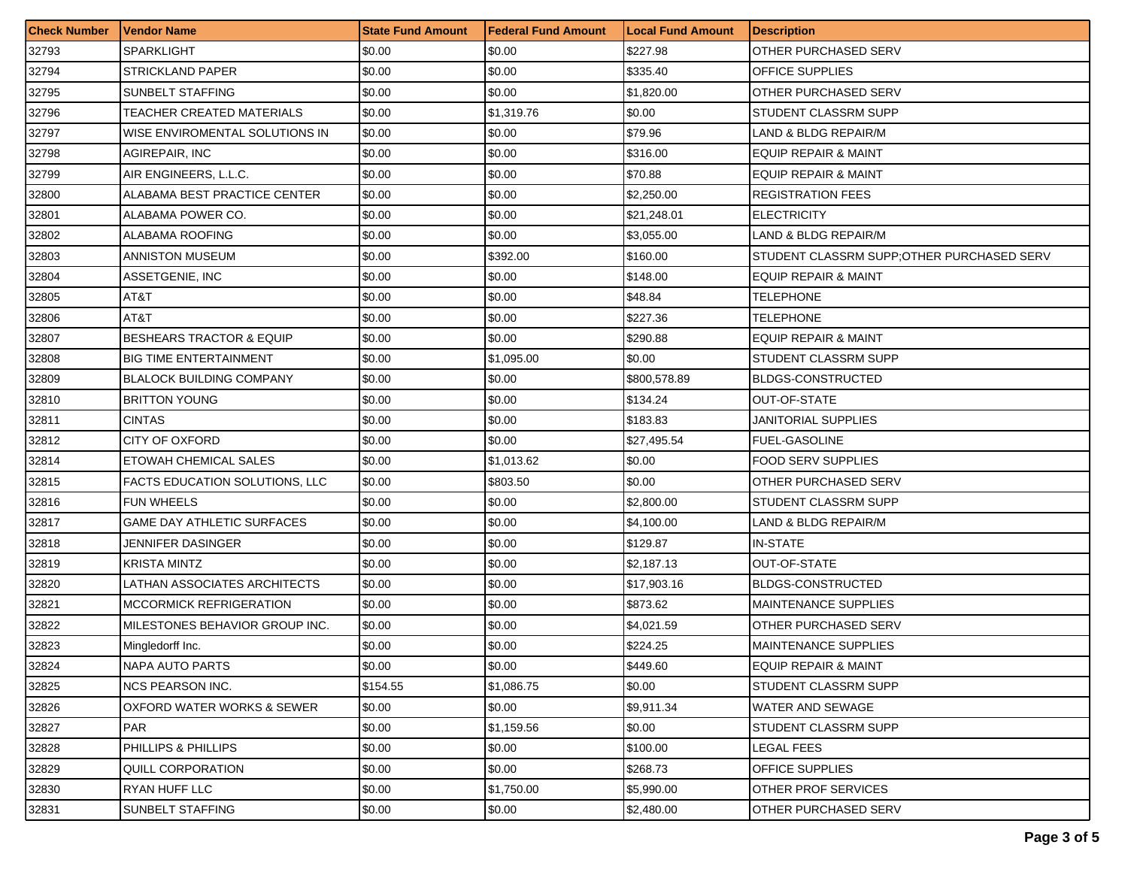| <b>Check Number</b> | <b>Vendor Name</b>                    | <b>State Fund Amount</b> | Federal Fund Amount | <b>Local Fund Amount</b> | <b>Description</b>                         |
|---------------------|---------------------------------------|--------------------------|---------------------|--------------------------|--------------------------------------------|
| 32793               | <b>SPARKLIGHT</b>                     | \$0.00                   | \$0.00              | \$227.98                 | OTHER PURCHASED SERV                       |
| 32794               | <b>STRICKLAND PAPER</b>               | \$0.00                   | \$0.00              | \$335.40                 | <b>OFFICE SUPPLIES</b>                     |
| 32795               | <b>SUNBELT STAFFING</b>               | \$0.00                   | \$0.00              | \$1,820.00               | OTHER PURCHASED SERV                       |
| 32796               | TEACHER CREATED MATERIALS             | \$0.00                   | \$1,319.76          | \$0.00                   | <b>STUDENT CLASSRM SUPP</b>                |
| 32797               | WISE ENVIROMENTAL SOLUTIONS IN        | \$0.00                   | \$0.00              | \$79.96                  | LAND & BLDG REPAIR/M                       |
| 32798               | AGIREPAIR, INC                        | \$0.00                   | \$0.00              | \$316.00                 | <b>EQUIP REPAIR &amp; MAINT</b>            |
| 32799               | AIR ENGINEERS, L.L.C.                 | \$0.00                   | \$0.00              | \$70.88                  | <b>EQUIP REPAIR &amp; MAINT</b>            |
| 32800               | ALABAMA BEST PRACTICE CENTER          | \$0.00                   | \$0.00              | \$2,250.00               | <b>REGISTRATION FEES</b>                   |
| 32801               | ALABAMA POWER CO.                     | \$0.00                   | \$0.00              | \$21,248.01              | <b>ELECTRICITY</b>                         |
| 32802               | ALABAMA ROOFING                       | \$0.00                   | \$0.00              | \$3,055.00               | LAND & BLDG REPAIR/M                       |
| 32803               | ANNISTON MUSEUM                       | \$0.00                   | \$392.00            | \$160.00                 | STUDENT CLASSRM SUPP; OTHER PURCHASED SERV |
| 32804               | ASSETGENIE, INC                       | \$0.00                   | \$0.00              | \$148.00                 | <b>EQUIP REPAIR &amp; MAINT</b>            |
| 32805               | AT&T                                  | \$0.00                   | \$0.00              | \$48.84                  | TELEPHONE                                  |
| 32806               | AT&T                                  | \$0.00                   | \$0.00              | \$227.36                 | TELEPHONE                                  |
| 32807               | <b>BESHEARS TRACTOR &amp; EQUIP</b>   | \$0.00                   | \$0.00              | \$290.88                 | <b>EQUIP REPAIR &amp; MAINT</b>            |
| 32808               | <b>BIG TIME ENTERTAINMENT</b>         | \$0.00                   | \$1,095.00          | \$0.00                   | STUDENT CLASSRM SUPP                       |
| 32809               | <b>BLALOCK BUILDING COMPANY</b>       | \$0.00                   | \$0.00              | \$800,578.89             | <b>BLDGS-CONSTRUCTED</b>                   |
| 32810               | <b>BRITTON YOUNG</b>                  | \$0.00                   | \$0.00              | \$134.24                 | OUT-OF-STATE                               |
| 32811               | <b>CINTAS</b>                         | \$0.00                   | \$0.00              | \$183.83                 | JANITORIAL SUPPLIES                        |
| 32812               | CITY OF OXFORD                        | \$0.00                   | \$0.00              | \$27,495.54              | <b>FUEL-GASOLINE</b>                       |
| 32814               | ETOWAH CHEMICAL SALES                 | \$0.00                   | \$1,013.62          | \$0.00                   | <b>FOOD SERV SUPPLIES</b>                  |
| 32815               | <b>FACTS EDUCATION SOLUTIONS, LLC</b> | \$0.00                   | \$803.50            | \$0.00                   | OTHER PURCHASED SERV                       |
| 32816               | <b>FUN WHEELS</b>                     | \$0.00                   | \$0.00              | \$2,800.00               | STUDENT CLASSRM SUPP                       |
| 32817               | <b>GAME DAY ATHLETIC SURFACES</b>     | \$0.00                   | \$0.00              | \$4,100.00               | LAND & BLDG REPAIR/M                       |
| 32818               | JENNIFER DASINGER                     | \$0.00                   | \$0.00              | \$129.87                 | <b>IN-STATE</b>                            |
| 32819               | <b>KRISTA MINTZ</b>                   | \$0.00                   | \$0.00              | \$2,187.13               | OUT-OF-STATE                               |
| 32820               | LATHAN ASSOCIATES ARCHITECTS          | \$0.00                   | \$0.00              | \$17,903.16              | <b>BLDGS-CONSTRUCTED</b>                   |
| 32821               | <b>MCCORMICK REFRIGERATION</b>        | \$0.00                   | \$0.00              | \$873.62                 | <b>MAINTENANCE SUPPLIES</b>                |
| 32822               | MILESTONES BEHAVIOR GROUP INC.        | \$0.00                   | \$0.00              | \$4,021.59               | OTHER PURCHASED SERV                       |
| 32823               | Mingledorff Inc.                      | \$0.00                   | \$0.00              | \$224.25                 | <b>MAINTENANCE SUPPLIES</b>                |
| 32824               | <b>NAPA AUTO PARTS</b>                | \$0.00                   | \$0.00              | \$449.60                 | EQUIP REPAIR & MAINT                       |
| 32825               | <b>NCS PEARSON INC.</b>               | \$154.55                 | \$1,086.75          | \$0.00                   | STUDENT CLASSRM SUPP                       |
| 32826               | OXFORD WATER WORKS & SEWER            | \$0.00                   | \$0.00              | \$9,911.34               | <b>WATER AND SEWAGE</b>                    |
| 32827               | <b>PAR</b>                            | \$0.00                   | \$1,159.56          | \$0.00                   | STUDENT CLASSRM SUPP                       |
| 32828               | PHILLIPS & PHILLIPS                   | \$0.00                   | \$0.00              | \$100.00                 | LEGAL FEES                                 |
| 32829               | QUILL CORPORATION                     | \$0.00                   | \$0.00              | \$268.73                 | OFFICE SUPPLIES                            |
| 32830               | RYAN HUFF LLC                         | \$0.00                   | \$1,750.00          | \$5,990.00               | OTHER PROF SERVICES                        |
| 32831               | SUNBELT STAFFING                      | \$0.00                   | \$0.00              | \$2,480.00               | OTHER PURCHASED SERV                       |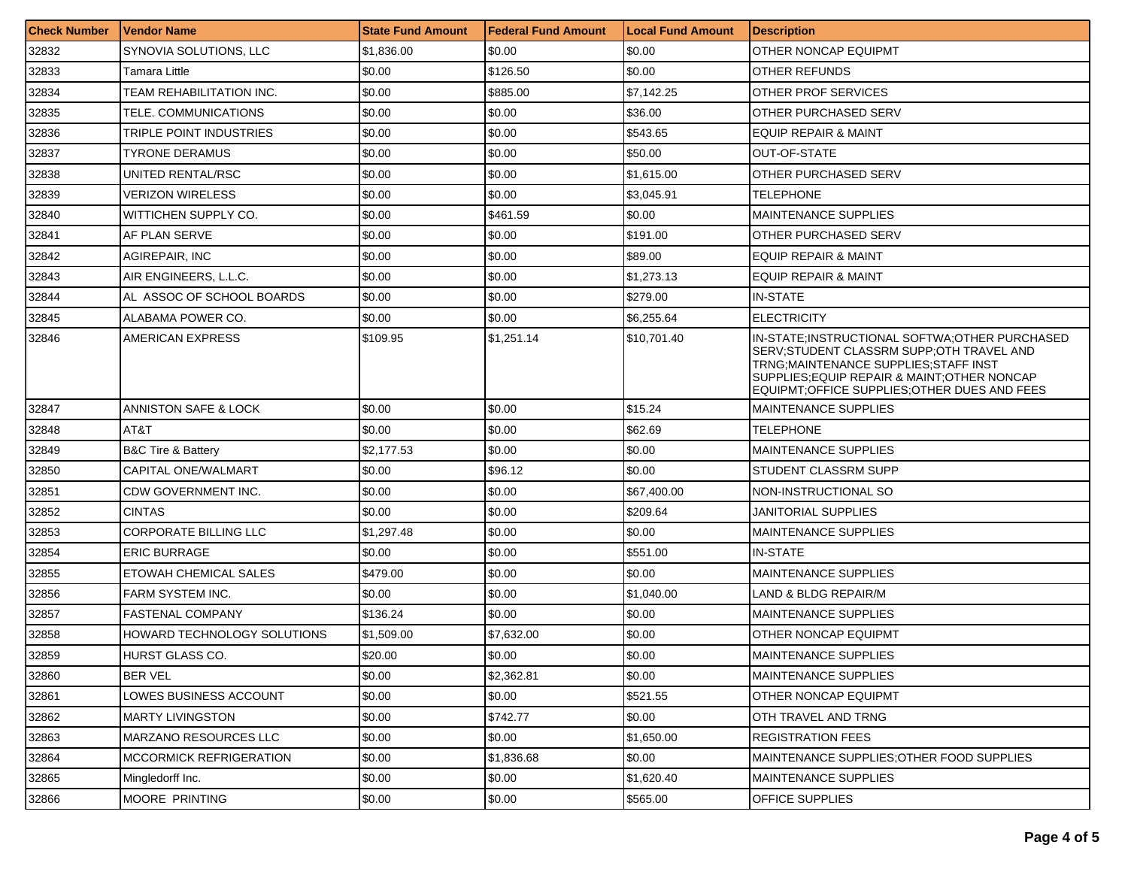| <b>Check Number</b> | Vendor Name                       | <b>State Fund Amount</b> | l Federal Fund Amount | <b>Local Fund Amount</b> | <b>Description</b>                                                                                                                                                                                                                     |
|---------------------|-----------------------------------|--------------------------|-----------------------|--------------------------|----------------------------------------------------------------------------------------------------------------------------------------------------------------------------------------------------------------------------------------|
| 32832               | SYNOVIA SOLUTIONS, LLC            | \$1,836.00               | \$0.00                | \$0.00                   | OTHER NONCAP EQUIPMT                                                                                                                                                                                                                   |
| 32833               | Tamara Little                     | \$0.00                   | \$126.50              | \$0.00                   | OTHER REFUNDS                                                                                                                                                                                                                          |
| 32834               | TEAM REHABILITATION INC.          | \$0.00                   | \$885.00              | \$7,142.25               | OTHER PROF SERVICES                                                                                                                                                                                                                    |
| 32835               | TELE. COMMUNICATIONS              | \$0.00                   | \$0.00                | \$36.00                  | OTHER PURCHASED SERV                                                                                                                                                                                                                   |
| 32836               | TRIPLE POINT INDUSTRIES           | \$0.00                   | \$0.00                | \$543.65                 | <b>EQUIP REPAIR &amp; MAINT</b>                                                                                                                                                                                                        |
| 32837               | TYRONE DERAMUS                    | \$0.00                   | \$0.00                | \$50.00                  | OUT-OF-STATE                                                                                                                                                                                                                           |
| 32838               | UNITED RENTAL/RSC                 | \$0.00                   | \$0.00                | \$1,615.00               | OTHER PURCHASED SERV                                                                                                                                                                                                                   |
| 32839               | VERIZON WIRELESS                  | \$0.00                   | \$0.00                | \$3,045.91               | TELEPHONE                                                                                                                                                                                                                              |
| 32840               | WITTICHEN SUPPLY CO.              | \$0.00                   | \$461.59              | \$0.00                   | <b>MAINTENANCE SUPPLIES</b>                                                                                                                                                                                                            |
| 32841               | AF PLAN SERVE                     | \$0.00                   | \$0.00                | \$191.00                 | OTHER PURCHASED SERV                                                                                                                                                                                                                   |
| 32842               | <b>AGIREPAIR, INC</b>             | \$0.00                   | \$0.00                | \$89.00                  | <b>EQUIP REPAIR &amp; MAINT</b>                                                                                                                                                                                                        |
| 32843               | AIR ENGINEERS, L.L.C.             | \$0.00                   | \$0.00                | \$1,273.13               | EQUIP REPAIR & MAINT                                                                                                                                                                                                                   |
| 32844               | AL ASSOC OF SCHOOL BOARDS         | \$0.00                   | \$0.00                | \$279.00                 | <b>IN-STATE</b>                                                                                                                                                                                                                        |
| 32845               | ALABAMA POWER CO.                 | \$0.00                   | \$0.00                | \$6,255.64               | <b>ELECTRICITY</b>                                                                                                                                                                                                                     |
| 32846               | AMERICAN EXPRESS                  | \$109.95                 | \$1,251.14            | \$10,701.40              | IN-STATE; INSTRUCTIONAL SOFTWA; OTHER PURCHASED<br>SERV; STUDENT CLASSRM SUPP; OTH TRAVEL AND<br>TRNG; MAINTENANCE SUPPLIES; STAFF INST<br>SUPPLIES; EQUIP REPAIR & MAINT; OTHER NONCAP<br>EQUIPMT:OFFICE SUPPLIES:OTHER DUES AND FEES |
| 32847               | ANNISTON SAFE & LOCK              | \$0.00                   | \$0.00                | \$15.24                  | <b>MAINTENANCE SUPPLIES</b>                                                                                                                                                                                                            |
| 32848               | AT&T                              | \$0.00                   | \$0.00                | \$62.69                  | <b>TELEPHONE</b>                                                                                                                                                                                                                       |
| 32849               | <b>B&amp;C Tire &amp; Battery</b> | \$2,177.53               | \$0.00                | \$0.00                   | <b>MAINTENANCE SUPPLIES</b>                                                                                                                                                                                                            |
| 32850               | CAPITAL ONE/WALMART               | \$0.00                   | \$96.12               | \$0.00                   | STUDENT CLASSRM SUPP                                                                                                                                                                                                                   |
| 32851               | CDW GOVERNMENT INC.               | \$0.00                   | \$0.00                | \$67,400.00              | NON-INSTRUCTIONAL SO                                                                                                                                                                                                                   |
| 32852               | <b>CINTAS</b>                     | \$0.00                   | \$0.00                | \$209.64                 | <b>JANITORIAL SUPPLIES</b>                                                                                                                                                                                                             |
| 32853               | <b>CORPORATE BILLING LLC</b>      | \$1,297.48               | \$0.00                | \$0.00                   | <b>MAINTENANCE SUPPLIES</b>                                                                                                                                                                                                            |
| 32854               | <b>ERIC BURRAGE</b>               | \$0.00                   | \$0.00                | \$551.00                 | <b>IN-STATE</b>                                                                                                                                                                                                                        |
| 32855               | <b>ETOWAH CHEMICAL SALES</b>      | \$479.00                 | \$0.00                | \$0.00                   | <b>MAINTENANCE SUPPLIES</b>                                                                                                                                                                                                            |
| 32856               | <b>FARM SYSTEM INC.</b>           | \$0.00                   | \$0.00                | \$1,040.00               | LAND & BLDG REPAIR/M                                                                                                                                                                                                                   |
| 32857               | <b>FASTENAL COMPANY</b>           | \$136.24                 | \$0.00                | \$0.00                   | <b>MAINTENANCE SUPPLIES</b>                                                                                                                                                                                                            |
| 32858               | HOWARD TECHNOLOGY SOLUTIONS       | \$1,509.00               | \$7,632.00            | \$0.00                   | OTHER NONCAP EQUIPMT                                                                                                                                                                                                                   |
| 32859               | HURST GLASS CO.                   | \$20.00                  | \$0.00                | \$0.00                   | <b>MAINTENANCE SUPPLIES</b>                                                                                                                                                                                                            |
| 32860               | <b>BER VEL</b>                    | \$0.00                   | \$2,362.81            | \$0.00                   | <b>MAINTENANCE SUPPLIES</b>                                                                                                                                                                                                            |
| 32861               | LOWES BUSINESS ACCOUNT            | \$0.00                   | \$0.00                | \$521.55                 | OTHER NONCAP EQUIPMT                                                                                                                                                                                                                   |
| 32862               | <b>MARTY LIVINGSTON</b>           | \$0.00                   | \$742.77              | \$0.00                   | <b>OTH TRAVEL AND TRNG</b>                                                                                                                                                                                                             |
| 32863               | <b>MARZANO RESOURCES LLC</b>      | \$0.00                   | \$0.00                | \$1,650.00               | <b>REGISTRATION FEES</b>                                                                                                                                                                                                               |
| 32864               | <b>MCCORMICK REFRIGERATION</b>    | \$0.00                   | \$1,836.68            | \$0.00                   | MAINTENANCE SUPPLIES; OTHER FOOD SUPPLIES                                                                                                                                                                                              |
| 32865               | Mingledorff Inc.                  | \$0.00                   | \$0.00                | \$1,620.40               | <b>MAINTENANCE SUPPLIES</b>                                                                                                                                                                                                            |
| 32866               | MOORE PRINTING                    | \$0.00                   | \$0.00                | \$565.00                 | OFFICE SUPPLIES                                                                                                                                                                                                                        |